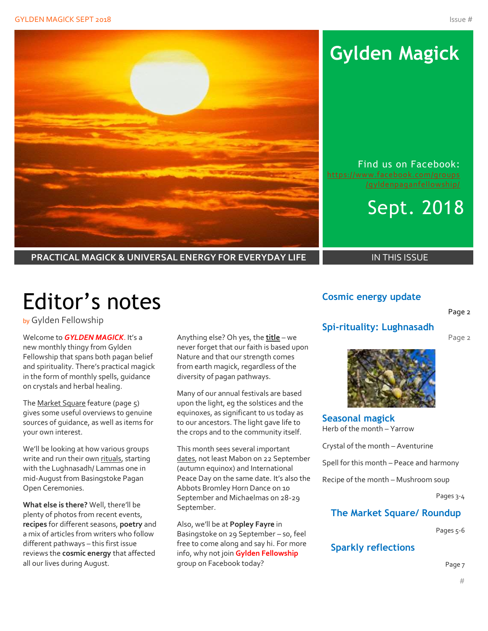

## **Gylden Magick**

Find us on Facebook: [https://www.facebook.com/groups](https://www.facebook.com/groups/gyldenpaganfellowship/)

## Sept. 2018

**PRACTICAL MAGICK & UNIVERSAL ENERGY FOR EVERYDAY LIFE** IN THIS ISSUE

# Editor's notes

by Gylden Fellowship

Welcome to *GYLDEN MAGICK*. It's a new monthly thingy from Gylden Fellowship that spans both pagan belief and spirituality. There's practical magick in the form of monthly spells, guidance on crystals and herbal healing.

The Market Square feature (page 5) gives some useful overviews to genuine sources of guidance, as well as items for your own interest.

We'll be looking at how various groups write and run their own rituals, starting with the Lughnasadh/ Lammas one in mid-August from Basingstoke Pagan Open Ceremonies.

**What else is there?** Well, there'll be plenty of photos from recent events, **recipes** for different seasons, **poetry** and a mix of articles from writers who follow different pathways – this first issue reviews the **cosmic energy** that affected all our lives during August.

Anything else? Oh yes, the **title** – we never forget that our faith is based upon Nature and that our strength comes from earth magick, regardless of the diversity of pagan pathways.

Many of our annual festivals are based upon the light, eg the solstices and the equinoxes, as significant to us today as to our ancestors. The light gave life to the crops and to the community itself.

This month sees several important dates, not least Mabon on 22 September (autumn equinox) and International Peace Day on the same date. It's also the Abbots Bromley Horn Dance on 10 September and Michaelmas on 28-29 September.

Also, we'll be at **Popley Fayre** in Basingstoke on 29 September – so, feel free to come along and say hi. For more info, why not join **Gylden Fellowship** group on Facebook today?

### **Cosmic energy update**

#### Page 2

### **Spi-rituality: Lughnasadh**

Page 2



**Seasonal magick** Herb of the month – Yarrow

Crystal of the month – Aventurine

Spell for this month – Peace and harmony

Recipe of the month – Mushroom soup

Pages 3-4

### **The Market Square/ Roundup**

Pages 5-6

### **Sparkly reflections**

Page 7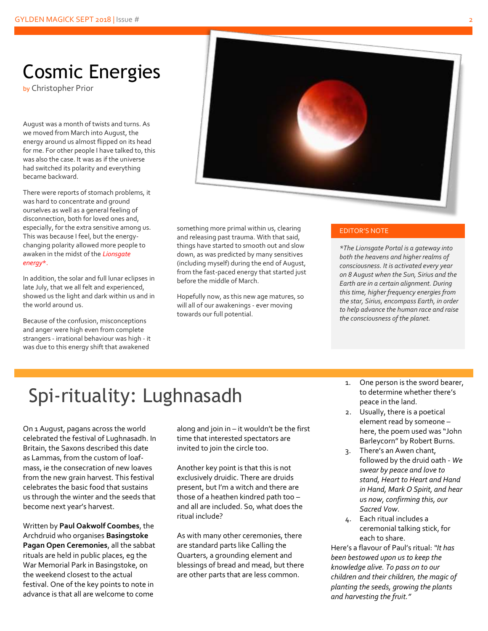## Cosmic Energies

by Christopher Prior

August was a month of twists and turns. As we moved from March into August, the energy around us almost flipped on its head for me. For other people I have talked to, this was also the case. It was as if the universe had switched its polarity and everything became backward.

There were reports of stomach problems, it was hard to concentrate and ground ourselves as well as a general feeling of disconnection, both for loved ones and, especially, for the extra sensitive among us. This was because I feel, but the energychanging polarity allowed more people to awaken in the midst of the *Lionsgate energy*\*.

In addition, the solar and full lunar eclipses in late July, that we all felt and experienced, showed us the light and dark within us and in the world around us.

Because of the confusion, misconceptions and anger were high even from complete strangers - irrational behaviour was high - it was due to this energy shift that awakened



something more primal within us, clearing and releasing past trauma. With that said, things have started to smooth out and slow down, as was predicted by many sensitives (including myself) during the end of August, from the fast-paced energy that started just before the middle of March.

Hopefully now, as this new age matures, so will all of our awakenings - ever moving towards our full potential.

#### EDITOR'S NOTE

*\*The Lionsgate Portal is a gateway into both the heavens and higher realms of consciousness. It is activated every year on 8 August when the Sun, Sirius and the Earth are in a certain alignment. During this time, higher frequency energies from the star, Sirius, encompass Earth, in order to help advance the human race and raise the consciousness of the planet.*

# Spi-rituality: Lughnasadh

On 1 August, pagans across the world celebrated the festival of Lughnasadh. In Britain, the Saxons described this date as Lammas, from the custom of loafmass, ie the consecration of new loaves from the new grain harvest. This festival celebrates the basic food that sustains us through the winter and the seeds that become next year's harvest.

Written by **Paul Oakwolf Coombes**, the Archdruid who organises **Basingstoke Pagan Open Ceremonies**, all the sabbat rituals are held in public places, eg the War Memorial Park in Basingstoke, on the weekend closest to the actual festival. One of the key points to note in advance is that all are welcome to come

along and join in – it wouldn't be the first time that interested spectators are invited to join the circle too.

Another key point is that this is not exclusively druidic. There are druids present, but I'm a witch and there are those of a heathen kindred path too – and all are included. So, what does the ritual include?

As with many other ceremonies, there are standard parts like Calling the Quarters, a grounding element and blessings of bread and mead, but there are other parts that are less common.

- One person is the sword bearer, to determine whether there's peace in the land.
- 2. Usually, there is a poetical element read by someone – here, the poem used was "John Barleycorn" by Robert Burns.
- 3. There's an Awen chant, followed by the druid oath - *We swear by peace and love to stand, Heart to Heart and Hand in Hand, Mark O Spirit, and hear us now, confirming this, our Sacred Vow*.
- 4. Each ritual includes a ceremonial talking stick, for each to share.

Here's a flavour of Paul's ritual: *"It has been bestowed upon us to keep the knowledge alive. To pass on to our children and their children, the magic of planting the seeds, growing the plants and harvesting the fruit."*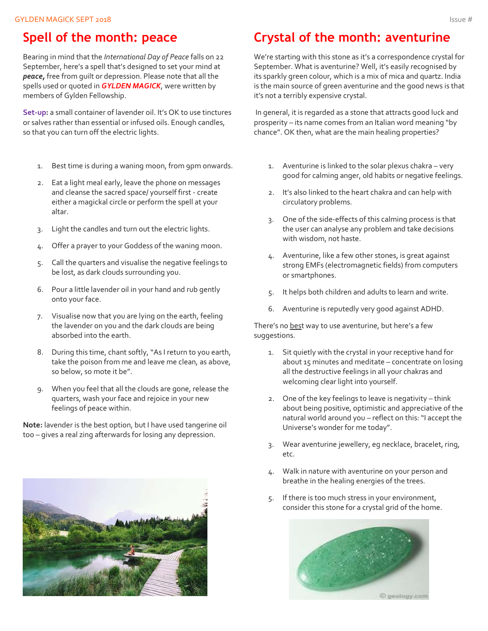## **Spell of the month: peace**

Bearing in mind that the *International Day of Peace* falls on 22 September, here's a spell that's designed to set your mind at *peace,* free from guilt or depression. Please note that all the spells used or quoted in *GYLDEN MAGICK*, were written by members of Gylden Fellowship.

**Set-up:** a small container of lavender oil. It's OK to use tinctures or salves rather than essential or infused oils. Enough candles, so that you can turn off the electric lights.

- 1. Best time is during a waning moon, from 9pm onwards.
- 2. Eat a light meal early, leave the phone on messages and cleanse the sacred space/ yourself first - create either a magickal circle or perform the spell at your altar.
- 3. Light the candles and turn out the electric lights.
- 4. Offer a prayer to your Goddess of the waning moon.
- 5. Call the quarters and visualise the negative feelings to be lost, as dark clouds surrounding you.
- 6. Pour a little lavender oil in your hand and rub gently onto your face.
- 7. Visualise now that you are lying on the earth, feeling the lavender on you and the dark clouds are being absorbed into the earth.
- 8. During this time, chant softly, "As I return to you earth, take the poison from me and leave me clean, as above, so below, so mote it be".
- 9. When you feel that all the clouds are gone, release the quarters, wash your face and rejoice in your new feelings of peace within.

**Note:** lavender is the best option, but I have used tangerine oil too – gives a real zing afterwards for losing any depression.



## **Crystal of the month: aventurine**

We're starting with this stone as it's a correspondence crystal for September. What is aventurine? Well, it's easily recognised by its sparkly green colour, which is a mix of mica and quartz. India is the main source of green aventurine and the good news is that it's not a terribly expensive crystal.

In general, it is regarded as a stone that attracts good luck and prosperity – its name comes from an Italian word meaning "by chance". OK then, what are the main healing properties?

- 1. Aventurine is linked to the solar plexus chakra very good for calming anger, old habits or negative feelings.
- 2. It's also linked to the heart chakra and can help with circulatory problems.
- 3. One of the side-effects of this calming process is that the user can analyse any problem and take decisions with wisdom, not haste.
- 4. Aventurine, like a few other stones, is great against strong EMFs (electromagnetic fields) from computers or smartphones.
- 5. It helps both children and adults to learn and write.
- 6. Aventurine is reputedly very good against ADHD.

There's no best way to use aventurine, but here's a few suggestions.

- 1. Sit quietly with the crystal in your receptive hand for about 15 minutes and meditate – concentrate on losing all the destructive feelings in all your chakras and welcoming clear light into yourself.
- 2. One of the key feelings to leave is negativity think about being positive, optimistic and appreciative of the natural world around you – reflect on this: "I accept the Universe's wonder for me today".
- 3. Wear aventurine jewellery, eg necklace, bracelet, ring, etc.
- 4. Walk in nature with aventurine on your person and breathe in the healing energies of the trees.
- 5. If there is too much stress in your environment, consider this stone for a crystal grid of the home.



© geology.com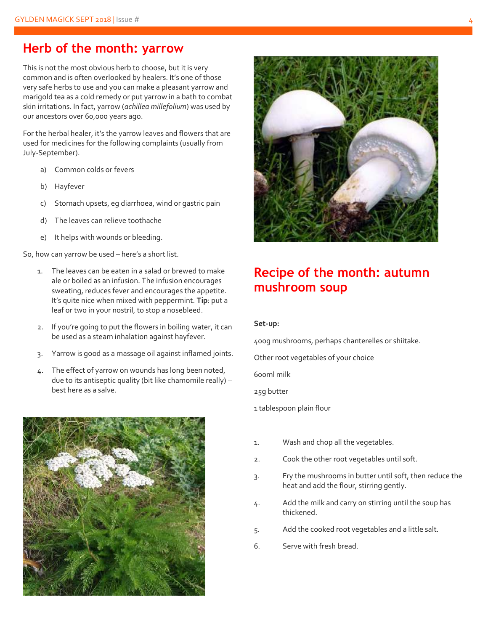### **Herb of the month: yarrow**

This is not the most obvious herb to choose, but it is very common and is often overlooked by healers. It's one of those very safe herbs to use and you can make a pleasant yarrow and marigold tea as a cold remedy or put yarrow in a bath to combat skin irritations. In fact, yarrow (*achillea millefolium*) was used by our ancestors over 60,000 years ago.

For the herbal healer, it's the yarrow leaves and flowers that are used for medicines for the following complaints (usually from July-September).

- a) Common colds or fevers
- b) Hayfever
- c) Stomach upsets, eg diarrhoea, wind or gastric pain
- d) The leaves can relieve toothache
- e) It helps with wounds or bleeding.

So, how can yarrow be used – here's a short list.

- 1. The leaves can be eaten in a salad or brewed to make ale or boiled as an infusion. The infusion encourages sweating, reduces fever and encourages the appetite. It's quite nice when mixed with peppermint. **Tip**: put a leaf or two in your nostril, to stop a nosebleed.
- 2. If you're going to put the flowers in boiling water, it can be used as a steam inhalation against hayfever.
- 3. Yarrow is good as a massage oil against inflamed joints.
- 4. The effect of yarrow on wounds has long been noted, due to its antiseptic quality (bit like chamomile really) – best here as a salve.





### **Recipe of the month: autumn mushroom soup**

#### **Set-up:**

400g mushrooms, perhaps chanterelles or shiitake.

Other root vegetables of your choice

600ml milk

25g butter

1 tablespoon plain flour

- 1. Wash and chop all the vegetables.
- 2. Cook the other root vegetables until soft.
- 3. Fry the mushrooms in butter until soft, then reduce the heat and add the flour, stirring gently.
- 4. Add the milk and carry on stirring until the soup has thickened.
- 5. Add the cooked root vegetables and a little salt.
- 6. Serve with fresh bread.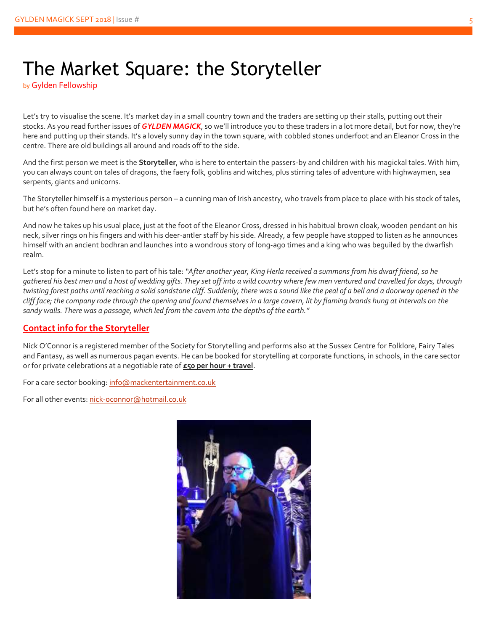## The Market Square: the Storyteller

by Gylden Fellowship

Let's try to visualise the scene. It's market day in a small country town and the traders are setting up their stalls, putting out their stocks. As you read further issues of *GYLDEN MAGICK*, so we'll introduce you to these traders in a lot more detail, but for now, they're here and putting up their stands. It's a lovely sunny day in the town square, with cobbled stones underfoot and an Eleanor Cross in the centre. There are old buildings all around and roads off to the side.

And the first person we meet is the **Storyteller**, who is here to entertain the passers-by and children with his magickal tales. With him, you can always count on tales of dragons, the faery folk, goblins and witches, plus stirring tales of adventure with highwaymen, sea serpents, giants and unicorns.

The Storyteller himself is a mysterious person - a cunning man of Irish ancestry, who travels from place to place with his stock of tales, but he's often found here on market day.

And now he takes up his usual place, just at the foot of the Eleanor Cross, dressed in his habitual brown cloak, wooden pendant on his neck, silver rings on his fingers and with his deer-antler staff by his side. Already, a few people have stopped to listen as he announces himself with an ancient bodhran and launches into a wondrous story of long-ago times and a king who was beguiled by the dwarfish realm.

Let's stop for a minute to listen to part of his tale: *"After another year, King Herla received a summons from his dwarf friend, so he gathered his best men and a host of wedding gifts. They set off into a wild country where few men ventured and travelled for days, through twisting forest paths until reaching a solid sandstone cliff. Suddenly, there was a sound like the peal of a bell and a doorway opened in the cliff face; the company rode through the opening and found themselves in a large cavern, lit by flaming brands hung at intervals on the sandy walls. There was a passage, which led from the cavern into the depths of the earth."*

### **Contact info for the Storyteller**

Nick O'Connor is a registered member of the Society for Storytelling and performs also at the Sussex Centre for Folklore, Fairy Tales and Fantasy, as well as numerous pagan events. He can be booked for storytelling at corporate functions, in schools, in the care sector or for private celebrations at a negotiable rate of **£50 per hour + travel**.

For a care sector booking[: info@mackentertainment.co.uk](mailto:info@mackentertainment.co.uk)

For all other events[: nick-oconnor@hotmail.co.uk](mailto:nick-oconnor@hotmail.co.uk)

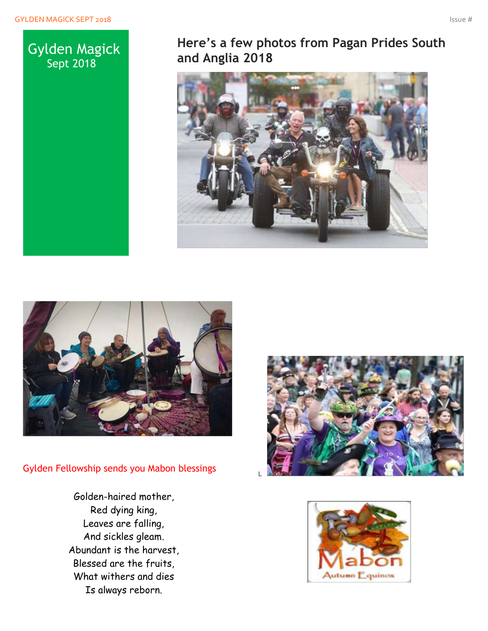

## **Here's a few photos from Pagan Prides South and Anglia 2018**





Gylden Fellowship sends you Mabon blessings

Golden-haired mother, Red dying king, Leaves are falling, And sickles gleam. Abundant is the harvest, Blessed are the fruits, What withers and dies Is always reborn.